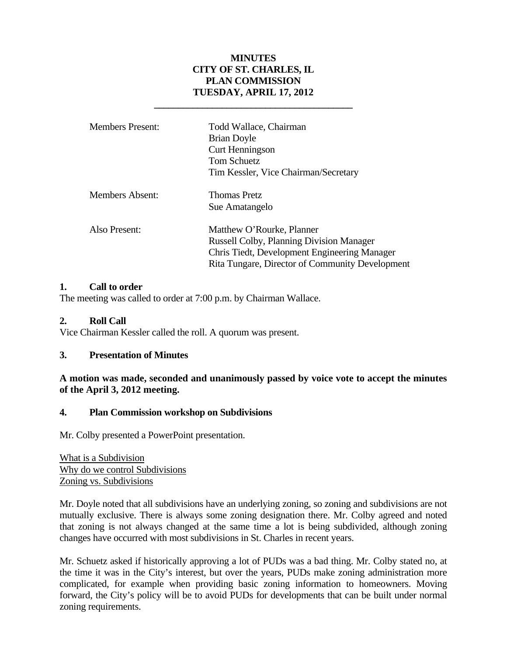# **MINUTES CITY OF ST. CHARLES, IL PLAN COMMISSION TUESDAY, APRIL 17, 2012**

 **\_\_\_\_\_\_\_\_\_\_\_\_\_\_\_\_\_\_\_\_\_\_\_\_\_\_\_\_\_\_\_\_\_\_\_\_\_\_\_\_\_** 

| <b>Members Present:</b> | Todd Wallace, Chairman<br><b>Brian Doyle</b><br><b>Curt Henningson</b><br><b>Tom Schuetz</b><br>Tim Kessler, Vice Chairman/Secretary                                            |
|-------------------------|---------------------------------------------------------------------------------------------------------------------------------------------------------------------------------|
| Members Absent:         | <b>Thomas Pretz</b><br>Sue Amatangelo                                                                                                                                           |
| Also Present:           | Matthew O'Rourke, Planner<br><b>Russell Colby, Planning Division Manager</b><br>Chris Tiedt, Development Engineering Manager<br>Rita Tungare, Director of Community Development |

## **1. Call to order**

The meeting was called to order at 7:00 p.m. by Chairman Wallace.

## **2. Roll Call**

Vice Chairman Kessler called the roll. A quorum was present.

#### **3. Presentation of Minutes**

## **A motion was made, seconded and unanimously passed by voice vote to accept the minutes of the April 3, 2012 meeting.**

#### **4. Plan Commission workshop on Subdivisions**

Mr. Colby presented a PowerPoint presentation.

What is a Subdivision Why do we control Subdivisions Zoning vs. Subdivisions

Mr. Doyle noted that all subdivisions have an underlying zoning, so zoning and subdivisions are not mutually exclusive. There is always some zoning designation there. Mr. Colby agreed and noted that zoning is not always changed at the same time a lot is being subdivided, although zoning changes have occurred with most subdivisions in St. Charles in recent years.

Mr. Schuetz asked if historically approving a lot of PUDs was a bad thing. Mr. Colby stated no, at the time it was in the City's interest, but over the years, PUDs make zoning administration more complicated, for example when providing basic zoning information to homeowners. Moving forward, the City's policy will be to avoid PUDs for developments that can be built under normal zoning requirements.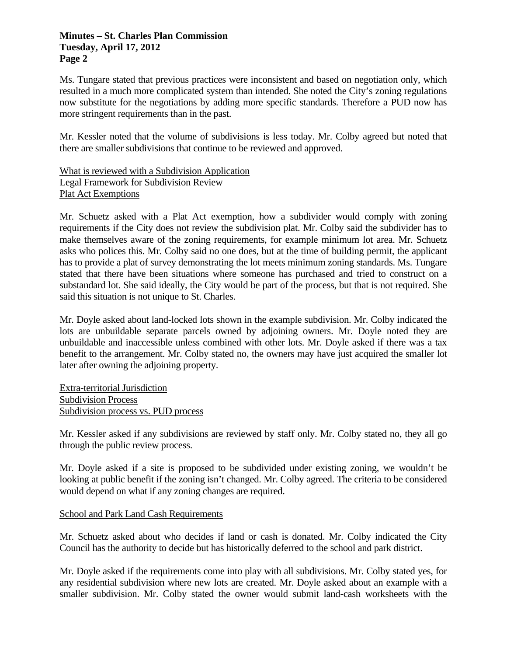#### **Minutes – St. Charles Plan Commission Tuesday, April 17, 2012 Page 2**

Ms. Tungare stated that previous practices were inconsistent and based on negotiation only, which resulted in a much more complicated system than intended. She noted the City's zoning regulations now substitute for the negotiations by adding more specific standards. Therefore a PUD now has more stringent requirements than in the past.

Mr. Kessler noted that the volume of subdivisions is less today. Mr. Colby agreed but noted that there are smaller subdivisions that continue to be reviewed and approved.

## What is reviewed with a Subdivision Application Legal Framework for Subdivision Review Plat Act Exemptions

Mr. Schuetz asked with a Plat Act exemption, how a subdivider would comply with zoning requirements if the City does not review the subdivision plat. Mr. Colby said the subdivider has to make themselves aware of the zoning requirements, for example minimum lot area. Mr. Schuetz asks who polices this. Mr. Colby said no one does, but at the time of building permit, the applicant has to provide a plat of survey demonstrating the lot meets minimum zoning standards. Ms. Tungare stated that there have been situations where someone has purchased and tried to construct on a substandard lot. She said ideally, the City would be part of the process, but that is not required. She said this situation is not unique to St. Charles.

Mr. Doyle asked about land-locked lots shown in the example subdivision. Mr. Colby indicated the lots are unbuildable separate parcels owned by adjoining owners. Mr. Doyle noted they are unbuildable and inaccessible unless combined with other lots. Mr. Doyle asked if there was a tax benefit to the arrangement. Mr. Colby stated no, the owners may have just acquired the smaller lot later after owning the adjoining property.

Extra-territorial Jurisdiction Subdivision Process Subdivision process vs. PUD process

Mr. Kessler asked if any subdivisions are reviewed by staff only. Mr. Colby stated no, they all go through the public review process.

Mr. Doyle asked if a site is proposed to be subdivided under existing zoning, we wouldn't be looking at public benefit if the zoning isn't changed. Mr. Colby agreed. The criteria to be considered would depend on what if any zoning changes are required.

# School and Park Land Cash Requirements

Mr. Schuetz asked about who decides if land or cash is donated. Mr. Colby indicated the City Council has the authority to decide but has historically deferred to the school and park district.

Mr. Doyle asked if the requirements come into play with all subdivisions. Mr. Colby stated yes, for any residential subdivision where new lots are created. Mr. Doyle asked about an example with a smaller subdivision. Mr. Colby stated the owner would submit land-cash worksheets with the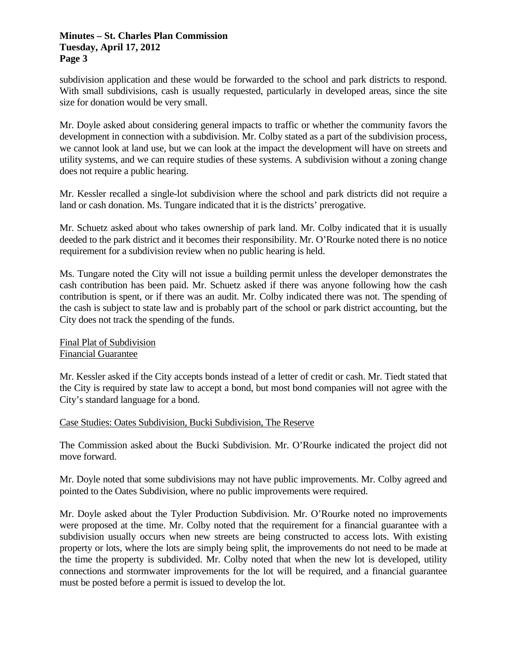#### **Minutes – St. Charles Plan Commission Tuesday, April 17, 2012 Page 3**

subdivision application and these would be forwarded to the school and park districts to respond. With small subdivisions, cash is usually requested, particularly in developed areas, since the site size for donation would be very small.

Mr. Doyle asked about considering general impacts to traffic or whether the community favors the development in connection with a subdivision. Mr. Colby stated as a part of the subdivision process, we cannot look at land use, but we can look at the impact the development will have on streets and utility systems, and we can require studies of these systems. A subdivision without a zoning change does not require a public hearing.

Mr. Kessler recalled a single-lot subdivision where the school and park districts did not require a land or cash donation. Ms. Tungare indicated that it is the districts' prerogative.

Mr. Schuetz asked about who takes ownership of park land. Mr. Colby indicated that it is usually deeded to the park district and it becomes their responsibility. Mr. O'Rourke noted there is no notice requirement for a subdivision review when no public hearing is held.

Ms. Tungare noted the City will not issue a building permit unless the developer demonstrates the cash contribution has been paid. Mr. Schuetz asked if there was anyone following how the cash contribution is spent, or if there was an audit. Mr. Colby indicated there was not. The spending of the cash is subject to state law and is probably part of the school or park district accounting, but the City does not track the spending of the funds.

Final Plat of Subdivision Financial Guarantee

Mr. Kessler asked if the City accepts bonds instead of a letter of credit or cash. Mr. Tiedt stated that the City is required by state law to accept a bond, but most bond companies will not agree with the City's standard language for a bond.

#### Case Studies: Oates Subdivision, Bucki Subdivision, The Reserve

The Commission asked about the Bucki Subdivision. Mr. O'Rourke indicated the project did not move forward.

Mr. Doyle noted that some subdivisions may not have public improvements. Mr. Colby agreed and pointed to the Oates Subdivision, where no public improvements were required.

Mr. Doyle asked about the Tyler Production Subdivision. Mr. O'Rourke noted no improvements were proposed at the time. Mr. Colby noted that the requirement for a financial guarantee with a subdivision usually occurs when new streets are being constructed to access lots. With existing property or lots, where the lots are simply being split, the improvements do not need to be made at the time the property is subdivided. Mr. Colby noted that when the new lot is developed, utility connections and stormwater improvements for the lot will be required, and a financial guarantee must be posted before a permit is issued to develop the lot.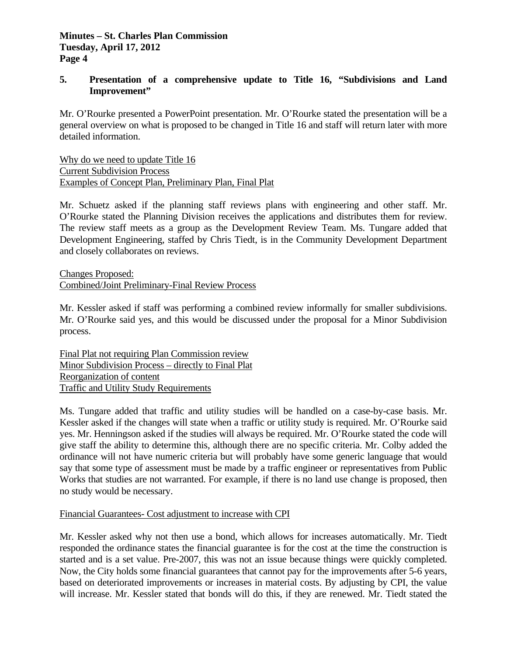## **5. Presentation of a comprehensive update to Title 16, "Subdivisions and Land Improvement"**

Mr. O'Rourke presented a PowerPoint presentation. Mr. O'Rourke stated the presentation will be a general overview on what is proposed to be changed in Title 16 and staff will return later with more detailed information.

Why do we need to update Title 16 Current Subdivision Process Examples of Concept Plan, Preliminary Plan, Final Plat

Mr. Schuetz asked if the planning staff reviews plans with engineering and other staff. Mr. O'Rourke stated the Planning Division receives the applications and distributes them for review. The review staff meets as a group as the Development Review Team. Ms. Tungare added that Development Engineering, staffed by Chris Tiedt, is in the Community Development Department and closely collaborates on reviews.

Changes Proposed: Combined/Joint Preliminary-Final Review Process

Mr. Kessler asked if staff was performing a combined review informally for smaller subdivisions. Mr. O'Rourke said yes, and this would be discussed under the proposal for a Minor Subdivision process.

Final Plat not requiring Plan Commission review Minor Subdivision Process – directly to Final Plat Reorganization of content Traffic and Utility Study Requirements

Ms. Tungare added that traffic and utility studies will be handled on a case-by-case basis. Mr. Kessler asked if the changes will state when a traffic or utility study is required. Mr. O'Rourke said yes. Mr. Henningson asked if the studies will always be required. Mr. O'Rourke stated the code will give staff the ability to determine this, although there are no specific criteria. Mr. Colby added the ordinance will not have numeric criteria but will probably have some generic language that would say that some type of assessment must be made by a traffic engineer or representatives from Public Works that studies are not warranted. For example, if there is no land use change is proposed, then no study would be necessary.

# Financial Guarantees- Cost adjustment to increase with CPI

Mr. Kessler asked why not then use a bond, which allows for increases automatically. Mr. Tiedt responded the ordinance states the financial guarantee is for the cost at the time the construction is started and is a set value. Pre-2007, this was not an issue because things were quickly completed. Now, the City holds some financial guarantees that cannot pay for the improvements after 5-6 years, based on deteriorated improvements or increases in material costs. By adjusting by CPI, the value will increase. Mr. Kessler stated that bonds will do this, if they are renewed. Mr. Tiedt stated the